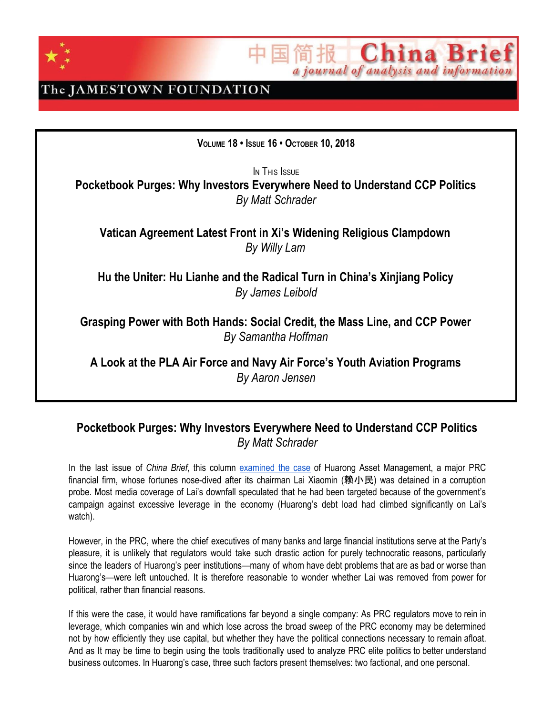

**China Br** a journal of analysis and information

### The JAMESTOWN FOUNDATION

**VOLUME 18 • ISSUE 16 • OCTOBER 10, 2018**

IN THIS ISSUE

**Pocketbook Purges: Why Investors Everywhere Need to Understand CCP Politics** *By Matt Schrader*

**Vatican Agreement Latest Front in Xi's Widening Religious Clampdown** *By Willy Lam*

**Hu the Uniter: Hu Lianhe and the Radical Turn in China's Xinjiang Policy** *By James Leibold*

**Grasping Power with Both Hands: Social Credit, the Mass Line, and CCP Power** *By Samantha Hoffman*

**A Look at the PLA Air Force and Navy Air Force's Youth Aviation Programs** *By Aaron Jensen*

### **Pocketbook Purges: Why Investors Everywhere Need to Understand CCP Politics** *By Matt Schrader*

In the last issue of *China Brief*, this column [examined](https://jamestown.org/program/financial-bosss-fall-hints-at-deleveragings-political-side/) the case of Huarong Asset Management, a major PRC financial firm, whose fortunes nose-dived after its chairman Lai Xiaomin (赖小民) was detained in a corruption probe. Most media coverage of Lai's downfall speculated that he had been targeted because of the government's campaign against excessive leverage in the economy (Huarong's debt load had climbed significantly on Lai's watch).

However, in the PRC, where the chief executives of many banks and large financial institutions serve at the Party's pleasure, it is unlikely that regulators would take such drastic action for purely technocratic reasons, particularly since the leaders of Huarong's peer institutions—many of whom have debt problems that are as bad or worse than Huarong's—were left untouched. It is therefore reasonable to wonder whether Lai was removed from power for political, rather than financial reasons.

If this were the case, it would have ramifications far beyond a single company: As PRC regulators move to rein in leverage, which companies win and which lose across the broad sweep of the PRC economy may be determined not by how efficiently they use capital, but whether they have the political connections necessary to remain afloat. And as It may be time to begin using the tools traditionally used to analyze PRC elite politics to better understand business outcomes. In Huarong's case, three such factors present themselves: two factional, and one personal.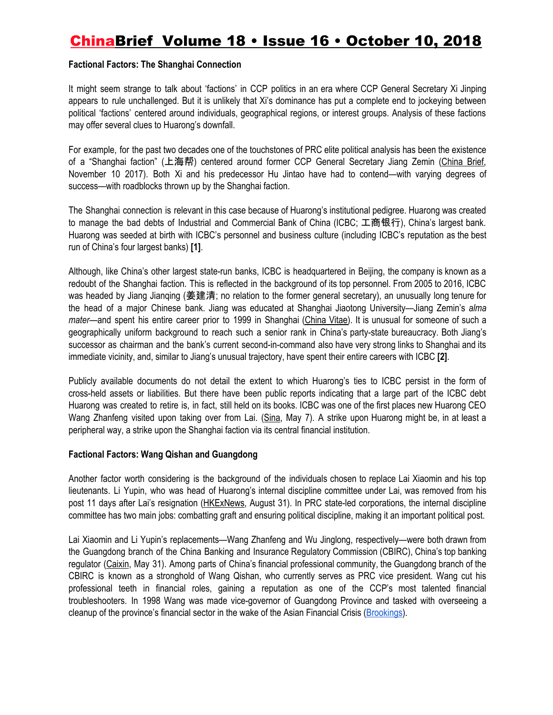#### **Factional Factors: The Shanghai Connection**

It might seem strange to talk about 'factions' in CCP politics in an era where CCP General Secretary Xi Jinping appears to rule unchallenged. But it is unlikely that Xi's dominance has put a complete end to jockeying between political 'factions' centered around individuals, geographical regions, or interest groups. Analysis of these factions may offer several clues to Huarong's downfall.

For example, for the past two decades one of the touchstones of PRC elite political analysis has been the existence of a "Shanghai faction" (上海帮) centered around former CCP General Secretary Jiang Zemin [\(China](https://jamestown.org/program/xi-jinping-become-emperor-life/) Brief, November 10 2017). Both Xi and his predecessor Hu Jintao have had to contend—with varying degrees of success—with roadblocks thrown up by the Shanghai faction.

The Shanghai connection is relevant in this case because of Huarong's institutional pedigree. Huarong was created to manage the bad debts of Industrial and Commercial Bank of China (ICBC; 工商银行), China's largest bank. Huarong was seeded at birth with ICBC's personnel and business culture (including ICBC's reputation as the best run of China's four largest banks) **[1]**.

Although, like China's other largest state-run banks, ICBC is headquartered in Beijing, the company is known as a redoubt of the Shanghai faction. This is reflected in the background of its top personnel. From 2005 to 2016, ICBC was headed by Jiang Jianging (姜建清; no relation to the former general secretary), an unusually long tenure for the head of a major Chinese bank. Jiang was educated at Shanghai Jiaotong University—Jiang Zemin's *alma mater*—and spent his entire career prior to 1999 in Shanghai ([China](http://www.chinavitae.net/biography/Jiang_Jianqing/career) Vitae). It is unusual for someone of such a geographically uniform background to reach such a senior rank in China's party-state bureaucracy. Both Jiang's successor as chairman and the bank's current second-in-command also have very strong links to Shanghai and its immediate vicinity, and, similar to Jiang's unusual trajectory, have spent their entire careers with ICBC **[2]**.

Publicly available documents do not detail the extent to which Huarong's ties to ICBC persist in the form of cross-held assets or liabilities. But there have been public reports indicating that a large part of the ICBC debt Huarong was created to retire is, in fact, still held on its books. ICBC was one of the first places new Huarong CEO Wang Zhanfeng visited upon taking over from Lai. [\(Sina](http://finance.sina.com.cn/money/bank/gsdt/2018-05-07/doc-ihacuuvu3764201.shtml), May 7). A strike upon Huarong might be, in at least a peripheral way, a strike upon the Shanghai faction via its central financial institution.

### **Factional Factors: Wang Qishan and Guangdong**

Another factor worth considering is the background of the individuals chosen to replace Lai Xiaomin and his top lieutenants. Li Yupin, who was head of Huarong's internal discipline committee under Lai, was removed from his post 11 days after Lai's resignation [\(HKExNews,](http://www.hkexnews.hk/listedco/listconews/SEHK/2018/0831/LTN20180831031.pdf) August 31). In PRC state-led corporations, the internal discipline committee has two main jobs: combatting graft and ensuring political discipline, making it an important political post.

Lai Xiaomin and Li Yupin's replacements—Wang Zhanfeng and Wu Jinglong, respectively—were both drawn from the Guangdong branch of the China Banking and Insurance Regulatory Commission (CBIRC), China's top banking regulator ([Caixin](https://www.caixinglobal.com/2018-06-01/scandal-ridden-huarong-gets-new-anti-graft-chief-101260588.html), May 31). Among parts of China's financial professional community, the Guangdong branch of the CBIRC is known as a stronghold of Wang Qishan, who currently serves as PRC vice president. Wang cut his professional teeth in financial roles, gaining a reputation as one of the CCP's most talented financial troubleshooters. In 1998 Wang was made vice-governor of Guangdong Province and tasked with overseeing a cleanup of the province's financial sector in the wake of the Asian Financial Crisis ([Brookings\)](https://www.brookings.edu/wp-content/uploads/2018/03/china_20180318_wang_qishan_profile.pdf).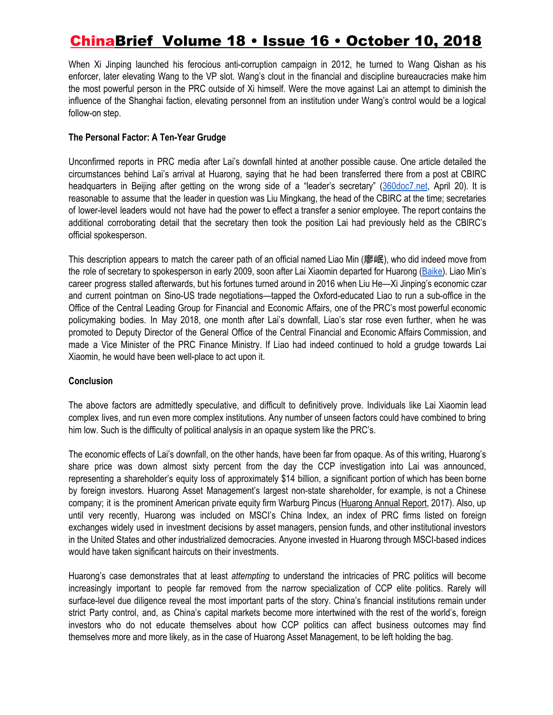When Xi Jinping launched his ferocious anti-corruption campaign in 2012, he turned to Wang Qishan as his enforcer, later elevating Wang to the VP slot. Wang's clout in the financial and discipline bureaucracies make him the most powerful person in the PRC outside of Xi himself. Were the move against Lai an attempt to diminish the influence of the Shanghai faction, elevating personnel from an institution under Wang's control would be a logical follow-on step.

### **The Personal Factor: A Ten-Year Grudge**

Unconfirmed reports in PRC media after Lai's downfall hinted at another possible cause. One article detailed the circumstances behind Lai's arrival at Huarong, saying that he had been transferred there from a post at CBIRC headquarters in Beijing after getting on the wrong side of a "leader's secretary" ([360doc7.net](http://www.360doc7.net/wxarticlenew/747385487.html), April 20). It is reasonable to assume that the leader in question was Liu Mingkang, the head of the CBIRC at the time; secretaries of lower-level leaders would not have had the power to effect a transfer a senior employee. The report contains the additional corroborating detail that the secretary then took the position Lai had previously held as the CBIRC's official spokesperson.

This description appears to match the career path of an official named Liao Min (廖岷), who did indeed move from the role of secretary to spokesperson in early 2009, soon after Lai Xiaomin departed for Huarong [\(Baike\)](http://www.baike.com/wiki/%E5%BB%96%E5%B2%B7). Liao Min's career progress stalled afterwards, but his fortunes turned around in 2016 when Liu He—Xi Jinping's economic czar and current pointman on Sino-US trade negotiations—tapped the Oxford-educated Liao to run a sub-office in the Office of the Central Leading Group for Financial and Economic Affairs, one of the PRC's most powerful economic policymaking bodies. In May 2018, one month after Lai's downfall, Liao's star rose even further, when he was promoted to Deputy Director of the General Office of the Central Financial and Economic Affairs Commission, and made a Vice Minister of the PRC Finance Ministry. If Liao had indeed continued to hold a grudge towards Lai Xiaomin, he would have been well-place to act upon it.

### **Conclusion**

The above factors are admittedly speculative, and difficult to definitively prove. Individuals like Lai Xiaomin lead complex lives, and run even more complex institutions. Any number of unseen factors could have combined to bring him low. Such is the difficulty of political analysis in an opaque system like the PRC's.

The economic effects of Lai's downfall, on the other hands, have been far from opaque. As of this writing, Huarong's share price was down almost sixty percent from the day the CCP investigation into Lai was announced, representing a shareholder's equity loss of approximately \$14 billion, a significant portion of which has been borne by foreign investors. Huarong Asset Management's largest non-state shareholder, for example, is not a Chinese company; it is the prominent American private equity firm Warburg Pincus ([Huarong](http://www.chamc.com.cn/en/images/InvestorRelations/RegularReports/2018/04/25/3ABF58C0F18E946D8D082EA7D8673780.pdf) Annual Report, 2017). Also, up until very recently, Huarong was included on MSCI's China Index, an index of PRC firms listed on foreign exchanges widely used in investment decisions by asset managers, pension funds, and other institutional investors in the United States and other industrialized democracies. Anyone invested in Huarong through MSCI-based indices would have taken significant haircuts on their investments.

Huarong's case demonstrates that at least *attempting* to understand the intricacies of PRC politics will become increasingly important to people far removed from the narrow specialization of CCP elite politics. Rarely will surface-level due diligence reveal the most important parts of the story. China's financial institutions remain under strict Party control, and, as China's capital markets become more intertwined with the rest of the world's, foreign investors who do not educate themselves about how CCP politics can affect business outcomes may find themselves more and more likely, as in the case of Huarong Asset Management, to be left holding the bag.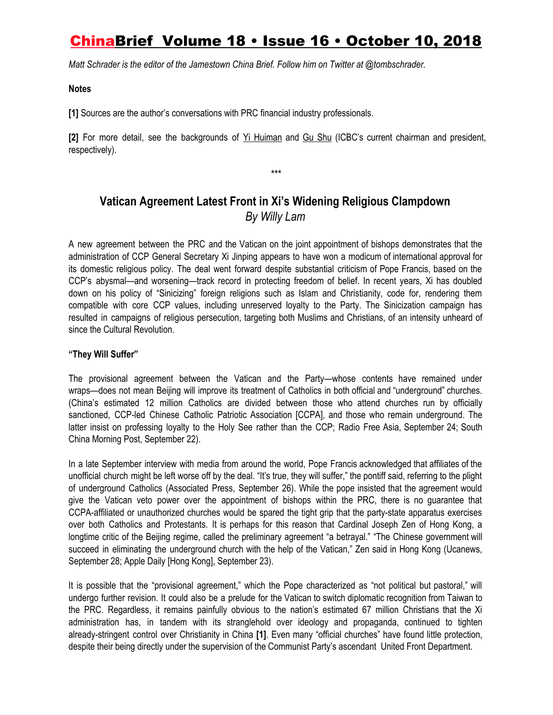*Matt Schrader is the editor of the Jamestown China Brief. Follow him on Twitter at @tombschrader.*

### **Notes**

**[1]** Sources are the author's conversations with PRC financial industry professionals.

**[2]** For more detail, see the backgrounds of Yi [Huiman](https://www.bloomberg.com/research/stocks/people/person.asp?personId=44734775&privcapId=23734930) and Gu [Shu](https://www.bloomberg.com/research/stocks/people/person.asp?personId=44734781&privcapId=23734930) (ICBC's current chairman and president, respectively).

*\*\*\**

### **Vatican Agreement Latest Front in Xi's Widening Religious Clampdown** *By Willy Lam*

A new agreement between the PRC and the Vatican on the joint appointment of bishops demonstrates that the administration of CCP General Secretary Xi Jinping appears to have won a modicum of international approval for its domestic religious policy. The deal went forward despite substantial criticism of Pope Francis, based on the CCP's abysmal—and worsening—track record in protecting freedom of belief. In recent years, Xi has doubled down on his policy of "Sinicizing" foreign religions such as Islam and Christianity, code for, rendering them compatible with core CCP values, including unreserved loyalty to the Party. The Sinicization campaign has resulted in campaigns of religious persecution, targeting both Muslims and Christians, of an intensity unheard of since the Cultural Revolution.

### **"They Will Suffer"**

The provisional agreement between the Vatican and the Party—whose contents have remained under wraps—does not mean Beijing will improve its treatment of Catholics in both official and "underground" churches. (China's estimated 12 million Catholics are divided between those who attend churches run by officially sanctioned, CCP-led Chinese Catholic Patriotic Association [CCPA], and those who remain underground. The latter insist on professing loyalty to the Holy See rather than the CCP; Radio [Free](https://www.rfa.org/english/news/china/agreement-09242018130857.html) Asia, September 24; [South](https://www.scmp.com/news/china/politics/article/2165334/vatican-signs-deal-china-bishop-appointments) China [Morning](https://www.scmp.com/news/china/politics/article/2165334/vatican-signs-deal-china-bishop-appointments) Post, September 22).

In a late September interview with media from around the world, Pope Francis acknowledged that affiliates of the unofficial church might be left worse off by the deal. "It's true, they will suffer," the pontiff said, referring to the plight of underground Catholics ([Associated](http://time.com/5406614/pope-francis-beijing-bishops-china/) Press, September 26). While the pope insisted that the agreement would give the Vatican veto power over the appointment of bishops within the PRC, there is no guarantee that CCPA-affiliated or unauthorized churches would be spared the tight grip that the party-state apparatus exercises over both Catholics and Protestants. It is perhaps for this reason that Cardinal Joseph Zen of Hong Kong, a longtime critic of the Beijing regime, called the preliminary agreement "a betrayal." "The Chinese government will succeed in eliminating the underground church with the help of the Vatican," Zen said in Hong Kong [\(Ucanews,](https://www.ucanews.com/news/cardinal-zen-rues-betrayal-of-chinas-underground-church/83483) September 28; Apple Daily [\[Hong](https://hk.news.appledaily.com/local/daily/article/20180923/20506156) Kong], September 23).

It is possible that the "provisional agreement," which the Pope characterized as "not political but pastoral," will undergo further revision. It could also be a prelude for the Vatican to switch diplomatic recognition from Taiwan to the PRC. Regardless, it remains painfully obvious to the nation's estimated 67 million Christians that the Xi administration has, in tandem with its stranglehold over ideology and propaganda, continued to tighten already-stringent control over Christianity in China **[1]**. Even many "official churches" have found little protection, despite their being directly under the supervision of the Communist Party's ascendant United Front Department.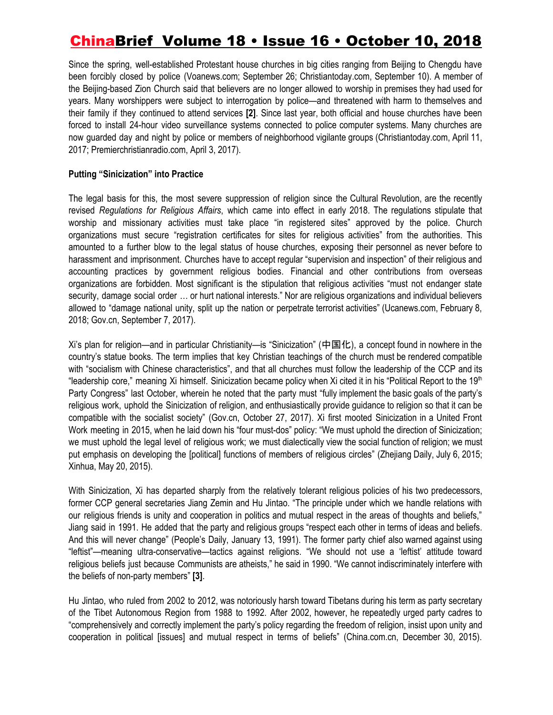Since the spring, well-established Protestant house churches in big cities ranging from Beijing to Chengdu have been forcibly closed by police ([Voanews.com](https://www.voanews.com/a/beijing-charges-shuttered-church-after-eviction/4588668.html); September 26; [Christiantoday.com,](https://www.christiantoday.com/article/china-outlaws-large-underground-protestant-church-in-beijing/130404.htm) September 10). A member of the Beijing-based Zion Church said that believers are no longer allowed to worship in premises they had used for years. Many worshippers were subject to interrogation by police—and threatened with harm to themselves and their family if they continued to attend services **[2]**. Since last year, both official and house churches have been forced to install 24-hour video surveillance systems connected to police computer systems. Many churches are now guarded day and night by police or members of neighborhood vigilante groups [\(Christiantoday.com](https://www.christiantoday.com/article/chinese-christians-forced-to-set-up-surveillance-cameras-in-their-churches/107182.htm), April 11, 2017; [Premierchristianradio.com,](https://www.premierchristianradio.com/News/World/China-Christians-clash-with-police-as-government-forces-church-to-install-CCTV) April 3, 2017).

### **Putting "Sinicization" into Practice**

The legal basis for this, the most severe suppression of religion since the Cultural Revolution, are the recently revised *Regulations for Religious Affairs*, which came into effect in early 2018. The regulations stipulate that worship and missionary activities must take place "in registered sites" approved by the police. Church organizations must secure "registration certificates for sites for religious activities" from the authorities. This amounted to a further blow to the legal status of house churches, exposing their personnel as never before to harassment and imprisonment. Churches have to accept regular "supervision and inspection" of their religious and accounting practices by government religious bodies. Financial and other contributions from overseas organizations are forbidden. Most significant is the stipulation that religious activities "must not endanger state security, damage social order … or hurt national interests." Nor are religious organizations and individual believers allowed to "damage national unity, split up the nation or perpetrate terrorist activities" [\(Ucanews.com,](https://www.ucanews.com/news/china-church-further-squeezed-by-revised-regulations/81469) February 8, 2018; [Gov.cn,](http://www.gov.cn/zhengce/content/2017-09/07/content_5223282.htm?from=timeline) September 7, 2017).

Xi's plan for religion—and in particular Christianity—is "Sinicization" (中国化), a concept found in nowhere in the country's statue books. The term implies that key Christian teachings of the church must be rendered compatible with "socialism with Chinese characteristics", and that all churches must follow the leadership of the CCP and its "leadership core," meaning Xi himself. Sinicization became policy when Xi cited it in his "Political Report to the 19<sup>th</sup> Party Congress" last October, wherein he noted that the party must "fully implement the basic goals of the party's religious work, uphold the Sinicization of religion, and enthusiastically provide guidance to religion so that it can be compatible with the socialist society" [\(Gov.cn](http://www.gov.cn/xinwen/2017-10/27/content_5234901.htm), October 27, 2017). Xi first mooted Sinicization in a United Front Work meeting in 2015, when he laid down his "four must-dos" policy: "We must uphold the direction of Sinicization; we must uphold the legal level of religious work; we must dialectically view the social function of religion; we must put emphasis on developing the [political] functions of members of religious circles" [\(Zhejiang](http://zjnews.zjol.com.cn/system/2015/07/06/020725157.shtml) Daily, July 6, 2015; [Xinhua](http://bbs1.people.com.cn/post/2/1/2/148468352.html), May 20, 2015).

With Sinicization, Xi has departed sharply from the relatively tolerant religious policies of his two predecessors, former CCP general secretaries Jiang Zemin and Hu Jintao. "The principle under which we handle relations with our religious friends is unity and cooperation in politics and mutual respect in the areas of thoughts and beliefs," Jiang said in 1991. He added that the party and religious groups "respect each other in terms of ideas and beliefs. And this will never change" ([People's](http://cpc.people.com.cn/GB/64162/64165/76621/76653/5290615.html) Daily, January 13, 1991). The former party chief also warned against using "leftist"—meaning ultra-conservative—tactics against religions. "We should not use a 'leftist' attitude toward religious beliefs just because Communists are atheists," he said in 1990. "We cannot indiscriminately interfere with the beliefs of non-party members" **[3]**.

Hu Jintao, who ruled from 2002 to 2012, was notoriously harsh toward Tibetans during his term as party secretary of the Tibet Autonomous Region from 1988 to 1992. After 2002, however, he repeatedly urged party cadres to "comprehensively and correctly implement the party's policy regarding the freedom of religion, insist upon unity and cooperation in political [issues] and mutual respect in terms of beliefs" ([China.com.cn,](http://www.china.com.cn/guoqing/zhuanti/2015-12/30/content_37422083_7.htm) December 30, 2015).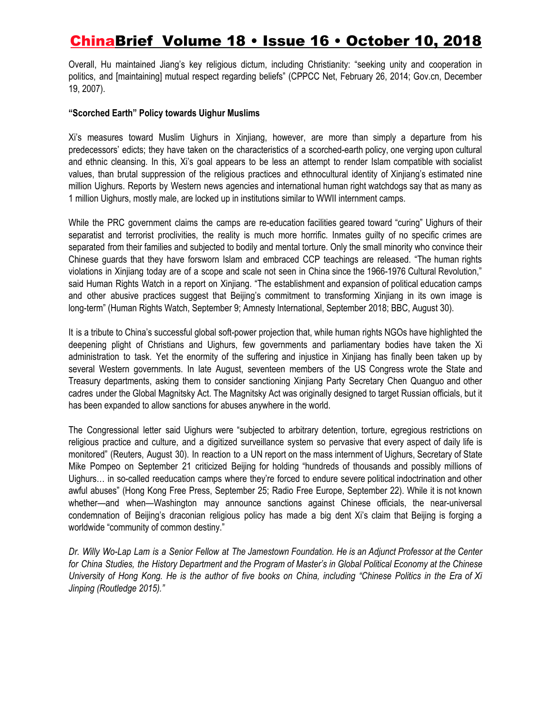Overall, Hu maintained Jiang's key religious dictum, including Christianity: "seeking unity and cooperation in politics, and [maintaining] mutual respect regarding beliefs" [\(CPPCC](http://www.rmzxb.com.cn/c/2014-02-26/298104.shtml) Net, February 26, 2014; [Gov.cn,](http://www.gov.cn/ldhd/2007-12/19/content_838664.htm) December 19, 2007).

#### **"Scorched Earth" Policy towards Uighur Muslims**

Xi's measures toward Muslim Uighurs in Xinjiang, however, are more than simply a departure from his predecessors' edicts; they have taken on the characteristics of a scorched-earth policy, one verging upon cultural and ethnic cleansing. In this, Xi's goal appears to be less an attempt to render Islam compatible with socialist values, than brutal suppression of the religious practices and ethnocultural identity of Xinjiang's estimated nine million Uighurs. Reports by Western news agencies and international human right watchdogs say that as many as 1 million Uighurs, mostly male, are locked up in institutions similar to WWII internment camps.

While the PRC government claims the camps are re-education facilities geared toward "curing" Uighurs of their separatist and terrorist proclivities, the reality is much more horrific. Inmates guilty of no specific crimes are separated from their families and subjected to bodily and mental torture. Only the small minority who convince their Chinese guards that they have forsworn Islam and embraced CCP teachings are released. "The human rights violations in Xinjiang today are of a scope and scale not seen in China since the 1966-1976 Cultural Revolution," said Human Rights Watch in a report on Xinjiang. "The establishment and expansion of political education camps and other abusive practices suggest that Beijing's commitment to transforming Xinjiang in its own image is long-term" [\(Human](https://www.hrw.org/report/2018/09/09/eradicating-ideological-viruses/chinas-campaign-repression-against-xinjiangs) Rights Watch, September 9; Amnesty [International](https://www.amnesty.org/en/latest/news/2018/09/china-up-to-one-million-detained/), September 2018; [BBC,](https://www.bbc.co.uk/programmes/p06jvzh2) August 30).

It is a tribute to China's successful global soft-power projection that, while human rights NGOs have highlighted the deepening plight of Christians and Uighurs, few governments and parliamentary bodies have taken the Xi administration to task. Yet the enormity of the suffering and injustice in Xinjiang has finally been taken up by several Western governments. In late August, seventeen members of the US Congress wrote the State and Treasury departments, asking them to consider sanctioning Xinjiang Party Secretary Chen Quanguo and other cadres under the Global Magnitsky Act. The Magnitsky Act was originally designed to target Russian officials, but it has been expanded to allow sanctions for abuses anywhere in the world.

The Congressional letter said Uighurs were "subjected to arbitrary detention, torture, egregious restrictions on religious practice and culture, and a digitized surveillance system so pervasive that every aspect of daily life is monitored" [\(Reuters,](https://www.reuters.com/article/us-usa-china-rights/group-of-u-s-lawmakers-urges-china-sanctions-over-xinjiang-abuses-idUSKCN1LE2MK) August 30). In reaction to a UN report on the mass internment of Uighurs, Secretary of State Mike Pompeo on September 21 criticized Beijing for holding "hundreds of thousands and possibly millions of Uighurs… in so-called reeducation camps where they're forced to endure severe political indoctrination and other awful abuses" (Hong Kong Free [Press](https://www.hongkongfp.com/2018/09/25/time-answers-mass-muslim-detentions-xinjiang-amnesty-international-tells-china/), September 25; Radio Free [Europe](https://www.rferl.org/a/china-muslim-uyghur-christians-pompeo-assails-treatment/29503526.html), September 22). While it is not known whether—and when—Washington may announce sanctions against Chinese officials, the near-universal condemnation of Beijing's draconian religious policy has made a big dent Xi's claim that Beijing is forging a worldwide "community of common destiny."

Dr. Willy Wo-Lap Lam is a Senior Fellow at The Jamestown Foundation. He is an Adjunct Professor at the Center for China Studies, the History Department and the Program of Master's in Global Political Economy at the Chinese University of Hong Kong. He is the author of five books on China, including "Chinese Politics in the Era of Xi *Jinping (Routledge 2015)."*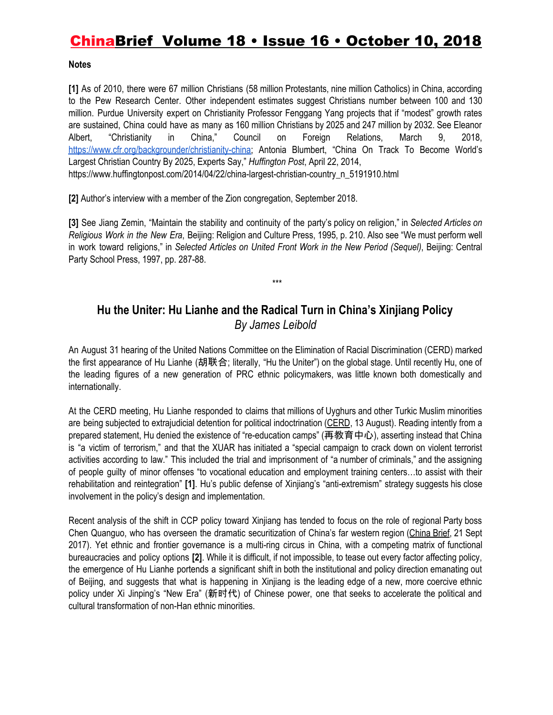### **Notes**

**[1]** As of 2010, there were 67 million Christians (58 million Protestants, nine million Catholics) in China, according to the Pew Research Center. Other independent estimates suggest Christians number between 100 and 130 million. Purdue University expert on Christianity Professor Fenggang Yang projects that if "modest" growth rates are sustained, China could have as many as 160 million Christians by 2025 and 247 million by 2032. See Eleanor Albert, "Christianity in China," Council on Foreign Relations, March 9, 2018, [https://www.cfr.org/backgrounder/christianity-china;](https://www.cfr.org/backgrounder/christianity-china) Antonia Blumbert, "China On Track To Become World's Largest Christian Country By 2025, Experts Say," *Huffington Post*, April 22, 2014, https://www.huffingtonpost.com/2014/04/22/china-largest-christian-country\_n\_5191910.html

**[2]** Author's interview with a member of the Zion congregation, September 2018.

**[3]** See Jiang Zemin, "Maintain the stability and continuity of the party's policy on religion," in *Selected Articles on Religious Work in the New Era*, Beijing: Religion and Culture Press, 1995, p. 210. Also see "We must perform well in work toward religions," in *Selected Articles on United Front Work in the New Period (Sequel)*, Beijing: Central Party School Press, 1997, pp. 287-88.

### **Hu the Uniter: Hu Lianhe and the Radical Turn in China's Xinjiang Policy** *By James Leibold*

\*\*\*

An August 31 hearing of the United Nations Committee on the Elimination of Racial Discrimination (CERD) marked the first appearance of Hu Lianhe (胡联合; literally, "Hu the Uniter") on the global stage. Until recently Hu, one of the leading figures of a new generation of PRC ethnic policymakers, was little known both domestically and internationally.

At the CERD meeting, Hu Lianhe responded to claims that millions of Uyghurs and other Turkic Muslim minorities are being subjected to extrajudicial detention for political indoctrination [\(CERD,](https://www.ohchr.org/EN/NewsEvents/Pages/DisplayNews.aspx?NewsID=23452&LangID=E) 13 August). Reading intently from a prepared statement, Hu denied the existence of "re-education camps" (再教育中心), asserting instead that China is "a victim of terrorism," and that the XUAR has initiated a "special campaign to crack down on violent terrorist activities according to law." This included the trial and imprisonment of "a number of criminals," and the assigning of people guilty of minor offenses "to vocational education and employment training centers…to assist with their rehabilitation and reintegration" **[1]**. Hu's public defense of Xinjiang's "anti-extremism" strategy suggests his close involvement in the policy's design and implementation.

Recent analysis of the shift in CCP policy toward Xinjiang has tended to focus on the role of regional Party boss Chen Quanguo, who has overseen the dramatic securitization of China's far western region ([China](https://jamestown.org/program/chen-quanguo-the-strongman-behind-beijings-securitization-strategy-in-tibet-and-xinjiang/) Brief, 21 Sept 2017). Yet ethnic and frontier governance is a multi-ring circus in China, with a competing matrix of functional bureaucracies and policy options **[2]**. While it is difficult, if not impossible, to tease out every factor affecting policy, the emergence of Hu Lianhe portends a significant shift in both the institutional and policy direction emanating out of Beijing, and suggests that what is happening in Xinjiang is the leading edge of a new, more coercive ethnic policy under Xi Jinping's "New Era" (新时代) of Chinese power, one that seeks to accelerate the political and cultural transformation of non-Han ethnic minorities.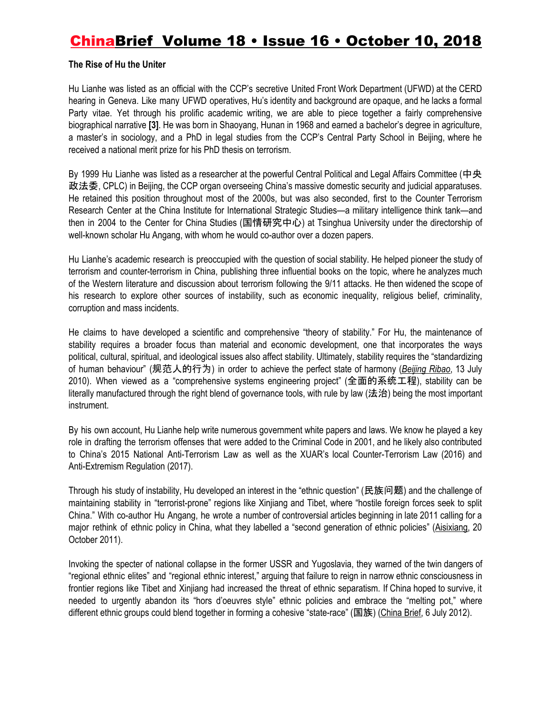#### **The Rise of Hu the Uniter**

Hu Lianhe was listed as an official with the CCP's secretive United Front Work Department (UFWD) at the CERD hearing in Geneva. Like many UFWD operatives, Hu's identity and background are opaque, and he lacks a formal Party vitae. Yet through his prolific academic writing, we are able to piece together a fairly comprehensive biographical narrative **[3]**. He was born in Shaoyang, Hunan in 1968 and earned a bachelor's degree in agriculture, a master's in sociology, and a PhD in legal studies from the CCP's Central Party School in Beijing, where he received a national merit prize for his PhD thesis on terrorism.

By 1999 Hu Lianhe was listed as a researcher at the powerful Central Political and Legal Affairs Committee (中央 政法委, CPLC) in Beijing, the CCP organ overseeing China's massive domestic security and judicial apparatuses. He retained this position throughout most of the 2000s, but was also seconded, first to the Counter Terrorism Research Center at the China Institute for International Strategic Studies—a military intelligence think tank—and then in 2004 to the Center for China Studies (国情研究中心) at Tsinghua University under the directorship of well-known scholar Hu Angang, with whom he would co-author over a dozen papers.

Hu Lianhe's academic research is preoccupied with the question of social stability. He helped pioneer the study of terrorism and counter-terrorism in China, publishing three influential books on the topic, where he analyzes much of the Western literature and discussion about terrorism following the 9/11 attacks. He then widened the scope of his research to explore other sources of instability, such as economic inequality, religious belief, criminality, corruption and mass incidents.

He claims to have developed a scientific and comprehensive "theory of stability." For Hu, the maintenance of stability requires a broader focus than material and economic development, one that incorporates the ways political, cultural, spiritual, and ideological issues also affect stability. Ultimately, stability requires the "standardizing of human behaviour" (规范人的行为) in order to achieve the perfect state of harmony (*[Beijing](http://news.ifeng.com/opinion/politics/detail_2010_07/13/1763456_0.shtml) Ribao*, 13 July 2010). When viewed as a "comprehensive systems engineering project" (全面的系统工程), stability can be literally manufactured through the right blend of governance tools, with rule by law (法治) being the most important instrument.

By his own account, Hu Lianhe help write numerous government white papers and laws. We know he played a key role in drafting the terrorism offenses that were added to the Criminal Code in 2001, and he likely also contributed to China's 2015 National Anti-Terrorism Law as well as the XUAR's local Counter-Terrorism Law (2016) and Anti-Extremism Regulation (2017).

Through his study of instability, Hu developed an interest in the "ethnic question" (民族问题) and the challenge of maintaining stability in "terrorist-prone" regions like Xinjiang and Tibet, where "hostile foreign forces seek to split China." With co-author Hu Angang, he wrote a number of controversial articles beginning in late 2011 calling for a major rethink of ethnic policy in China, what they labelled a "second generation of ethnic policies" ([Aisixiang](http://www.aisixiang.com/data/related-51769.html), 20 October 2011).

Invoking the specter of national collapse in the former USSR and Yugoslavia, they warned of the twin dangers of "regional ethnic elites" and "regional ethnic interest," arguing that failure to reign in narrow ethnic consciousness in frontier regions like Tibet and Xinjiang had increased the threat of ethnic separatism. If China hoped to survive, it needed to urgently abandon its "hors d'oeuvres style" ethnic policies and embrace the "melting pot," where different ethnic groups could blend together in forming a cohesive "state-race" (国族) ([China](https://jamestown.org/program/toward-a-second-generation-of-ethnic-policies/) Brief, 6 July 2012).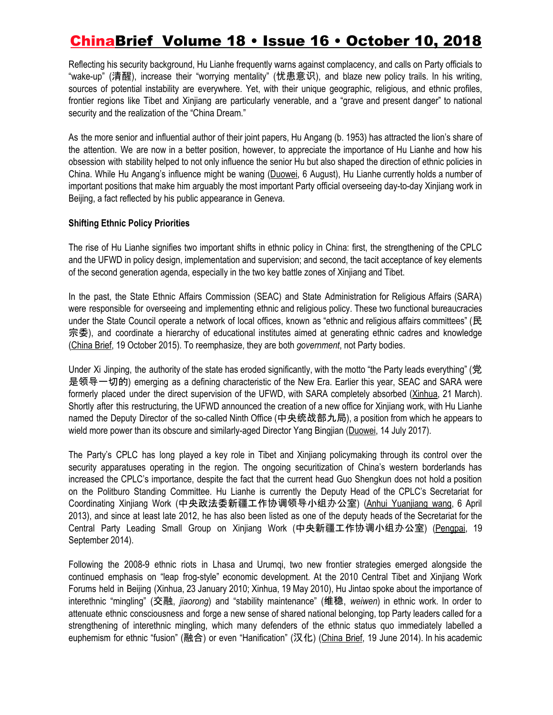Reflecting his security background, Hu Lianhe frequently warns against complacency, and calls on Party officials to "wake-up" (清醒), increase their "worrying mentality" (忧患意识), and blaze new policy trails. In his writing, sources of potential instability are everywhere. Yet, with their unique geographic, religious, and ethnic profiles, frontier regions like Tibet and Xinjiang are particularly venerable, and a "grave and present danger" to national security and the realization of the "China Dream."

As the more senior and influential author of their joint papers, Hu Angang (b. 1953) has attracted the lion's share of the attention. We are now in a better position, however, to appreciate the importance of Hu Lianhe and how his obsession with stability helped to not only influence the senior Hu but also shaped the direction of ethnic policies in China. While Hu Angang's influence might be waning [\(Duowei](http://news.dwnews.com/china/news/2018-08-06/60075731.html), 6 August), Hu Lianhe currently holds a number of important positions that make him arguably the most important Party official overseeing day-to-day Xinjiang work in Beijing, a fact reflected by his public appearance in Geneva.

#### **Shifting Ethnic Policy Priorities**

The rise of Hu Lianhe signifies two important shifts in ethnic policy in China: first, the strengthening of the CPLC and the UFWD in policy design, implementation and supervision; and second, the tacit acceptance of key elements of the second generation agenda, especially in the two key battle zones of Xinjiang and Tibet.

In the past, the State Ethnic Affairs Commission (SEAC) and State Administration for Religious Affairs (SARA) were responsible for overseeing and implementing ethnic and religious policy. These two functional bureaucracies under the State Council operate a network of local offices, known as "ethnic and religious affairs committees" (民 宗委), and coordinate a hierarchy of educational institutes aimed at generating ethnic cadres and knowledge ([China](https://jamestown.org/program/chinas-ethnic-policy-under-xi-jinping/) Brief, 19 October 2015). To reemphasize, they are both *government*, not Party bodies.

Under Xi Jinping, the authority of the state has eroded significantly, with the motto "the Party leads everything" (党 是领导一切的) emerging as a defining characteristic of the New Era. Earlier this year, SEAC and SARA were formerly placed under the direct supervision of the UFWD, with SARA completely absorbed ([Xinhua](http://www.gov.cn/xinwen/2018-03/21/content_5276191.htm#1), 21 March). Shortly after this restructuring, the UFWD announced the creation of a new office for Xinjiang work, with Hu Lianhe named the Deputy Director of the so-called Ninth Office (中央统战部九局), a position from which he appears to wield more power than its obscure and similarly-aged Director Yang Bingjian [\(Duowei](http://news.dwnews.com/china/news/2017-07-14/59825444.html), 14 July 2017).

The Party's CPLC has long played a key role in Tibet and Xinjiang policymaking through its control over the security apparatuses operating in the region. The ongoing securitization of China's western borderlands has increased the CPLC's importance, despite the fact that the current head Guo Shengkun does not hold a position on the Politburo Standing Committee. Hu Lianhe is currently the Deputy Head of the CPLC's Secretariat for Coordinating Xinjiang Work (中央政法委新疆工作协调领导小组办公室) (Anhui [Yuanjiang](http://news.dwnews.com/china/news/2017-07-14/59825444.html) wang, 6 April 2013), and since at least late 2012, he has also been listed as one of the deputy heads of the Secretariat for the Central Party Leading Small Group on Xinjiang Work (中央新疆工作协调小组办公室) [\(Pengpai](https://www.thepaper.cn/newsDetail_forward_1267650), 19 September 2014).

Following the 2008-9 ethnic riots in Lhasa and Urumqi, two new frontier strategies emerged alongside the continued emphasis on "leap frog-style" economic development. At the 2010 Central Tibet and Xinjiang Work Forums held in Beijing (Xinhua, 23 January 2010; Xinhua, 19 May 2010), Hu Jintao spoke about the importance of interethnic "mingling" (交融, *jiaorong*) and "stability maintenance" (维稳, *weiwen*) in ethnic work. In order to attenuate ethnic consciousness and forge a new sense of shared national belonging, top Party leaders called for a strengthening of interethnic mingling, which many defenders of the ethnic status quo immediately labelled a euphemism for ethnic "fusion" (融合) or even "Hanification" (汉化) [\(China](https://jamestown.org/program/xinjiang-work-forum-marks-new-policy-of-ethnic-mingling/) Brief, 19 June 2014). In his academic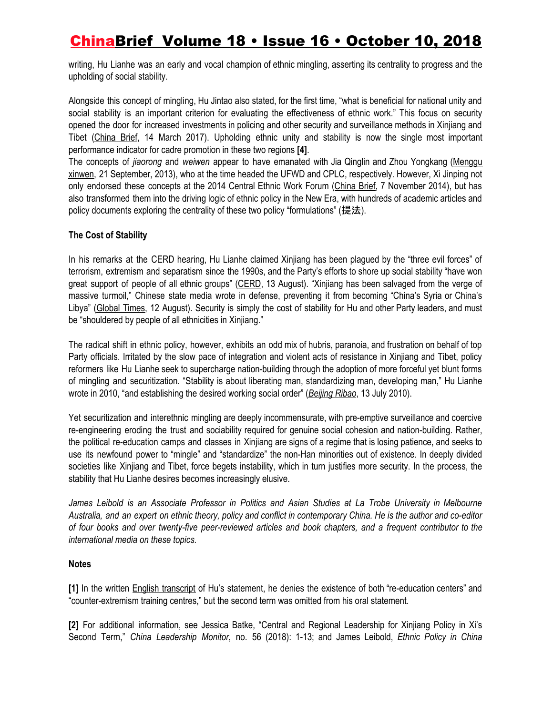writing, Hu Lianhe was an early and vocal champion of ethnic mingling, asserting its centrality to progress and the upholding of social stability.

Alongside this concept of mingling, Hu Jintao also stated, for the first time, "what is beneficial for national unity and social stability is an important criterion for evaluating the effectiveness of ethnic work." This focus on security opened the door for increased investments in policing and other security and surveillance methods in Xinjiang and Tibet [\(China](https://jamestown.org/program/xinjiangs-rapidly-evolving-security-state/) Brief, 14 March 2017). Upholding ethnic unity and stability is now the single most important performance indicator for cadre promotion in these two regions **[4]**.

The concepts of *jiaorong* and *weiwen* appear to have emanated with Jia Qinglin and Zhou Yongkang ([Menggu](http://mongoliinmedee1.blogspot.com/2013/09/blog-post_8538.html) [xinwen](http://mongoliinmedee1.blogspot.com/2013/09/blog-post_8538.html), 21 September, 2013), who at the time headed the UFWD and CPLC, respectively. However, Xi Jinping not only endorsed these concepts at the 2014 Central Ethnic Work Forum [\(China](https://jamestown.org/program/a-family-divided-the-ccps-central-ethnic-work-conference/) Brief, 7 November 2014), but has also transformed them into the driving logic of ethnic policy in the New Era, with hundreds of academic articles and policy documents exploring the centrality of these two policy "formulations" (提法).

### **The Cost of Stability**

In his remarks at the CERD hearing, Hu Lianhe claimed Xinjiang has been plagued by the "three evil forces" of terrorism, extremism and separatism since the 1990s, and the Party's efforts to shore up social stability "have won great support of people of all ethnic groups" [\(CERD](https://www.ohchr.org/EN/NewsEvents/Pages/DisplayNews.aspx?NewsID=23452&LangID=E), 13 August). "Xinjiang has been salvaged from the verge of massive turmoil," Chinese state media wrote in defense, preventing it from becoming "China's Syria or China's Libya" [\(Global](http://www.globaltimes.cn/content/1115022.shtml) Times, 12 August). Security is simply the cost of stability for Hu and other Party leaders, and must be "shouldered by people of all ethnicities in Xinjiang."

The radical shift in ethnic policy, however, exhibits an odd mix of hubris, paranoia, and frustration on behalf of top Party officials. Irritated by the slow pace of integration and violent acts of resistance in Xinjiang and Tibet, policy reformers like Hu Lianhe seek to supercharge nation-building through the adoption of more forceful yet blunt forms of mingling and securitization. "Stability is about liberating man, standardizing man, developing man," Hu Lianhe wrote in 2010, "and establishing the desired working social order" (*[Beijing](http://news.ifeng.com/opinion/politics/detail_2010_07/13/1763456_0.shtml) Ribao*, 13 July 2010).

Yet securitization and interethnic mingling are deeply incommensurate, with pre-emptive surveillance and coercive re-engineering eroding the trust and sociability required for genuine social cohesion and nation-building. Rather, the political re-education camps and classes in Xinjiang are signs of a regime that is losing patience, and seeks to use its newfound power to "mingle" and "standardize" the non-Han minorities out of existence. In deeply divided societies like Xinjiang and Tibet, force begets instability, which in turn justifies more security. In the process, the stability that Hu Lianhe desires becomes increasingly elusive.

*James Leibold is an Associate Professor in Politics and Asian Studies at La Trobe University in Melbourne* Australia, and an expert on ethnic theory, policy and conflict in contemporary China. He is the author and co-editor of four books and over twenty-five peer-reviewed articles and book chapters, and a frequent contributor to the *international media on these topics.*

### **Notes**

**[1]** In the written [English](https://twitter.com/i/moments/edit/1034983653267230720) transcript of Hu's statement, he denies the existence of both "re-education centers" and "counter-extremism training centres," but the second term was omitted from his oral statement.

**[2]** For additional information, see Jessica Batke, "Central and Regional Leadership for Xinjiang Policy in Xi's Second Term," *China Leadership Monitor*, no. 56 (2018): 1-13; and James Leibold, *Ethnic Policy in China*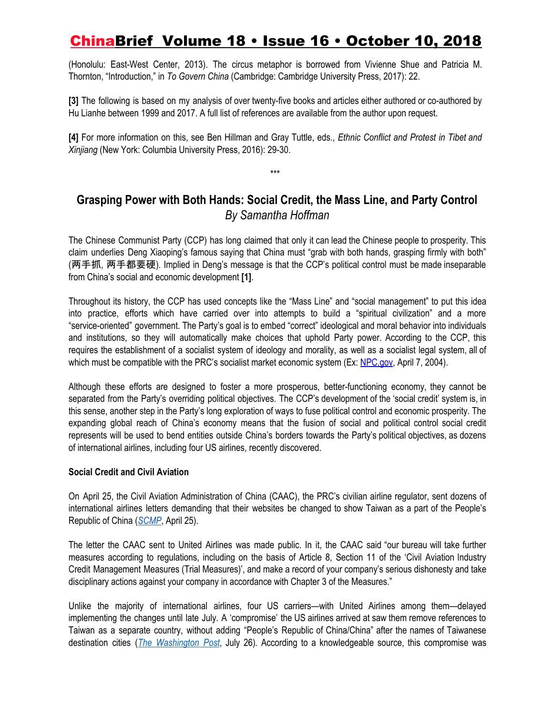(Honolulu: East-West Center, 2013). The circus metaphor is borrowed from Vivienne Shue and Patricia M. Thornton, "Introduction," in *To Govern China* (Cambridge: Cambridge University Press, 2017): 22.

**[3]** The following is based on my analysis of over twenty-five books and articles either authored or co-authored by Hu Lianhe between 1999 and 2017. A full list of references are available from the author upon request.

**[4]** For more information on this, see Ben Hillman and Gray Tuttle, eds., *Ethnic Conflict and Protest in Tibet and Xinjiang* (New York: Columbia University Press, 2016): 29-30.

\*\*\*

### **Grasping Power with Both Hands: Social Credit, the Mass Line, and Party Control** *By Samantha Hoffman*

The Chinese Communist Party (CCP) has long claimed that only it can lead the Chinese people to prosperity. This claim underlies Deng Xiaoping's famous saying that China must "grab with both hands, grasping firmly with both" (两手抓, 两手都要硬). Implied in Deng's message is that the CCP's political control must be made inseparable from China's social and economic development **[1]**.

Throughout its history, the CCP has used concepts like the "Mass Line" and "social management" to put this idea into practice, efforts which have carried over into attempts to build a "spiritual civilization" and a more "service-oriented" government. The Party's goal is to embed "correct" ideological and moral behavior into individuals and institutions, so they will automatically make choices that uphold Party power. According to the CCP, this requires the establishment of a socialist system of ideology and morality, as well as a socialist legal system, all of which must be compatible with the PRC's socialist market economic system (Ex: [NPC.gov](http://www.npc.gov.cn/npc/oldarchives/zht/zgrdw/common/zw.jsp@label=wxzlk&id=329958&pdmc=1504.htm), April 7, 2004).

Although these efforts are designed to foster a more prosperous, better-functioning economy, they cannot be separated from the Party's overriding political objectives. The CCP's development of the 'social credit' system is, in this sense, another step in the Party's long exploration of ways to fuse political control and economic prosperity. The expanding global reach of China's economy means that the fusion of social and political control social credit represents will be used to bend entities outside China's borders towards the Party's political objectives, as dozens of international airlines, including four US airlines, recently discovered.

### **Social Credit and Civil Aviation**

On April 25, the Civil Aviation Administration of China (CAAC), the PRC's civilian airline regulator, sent dozens of international airlines letters demanding that their websites be changed to show Taiwan as a part of the People's Republic of China (*[SCMP](https://www.scmp.com/news/china/diplomacy-defence/article/2152459/beijings-demand-refer-china-taiwan-still-being-defied)*, April 25).

The letter the CAAC sent to United Airlines was made public. In it, the CAAC said "our bureau will take further measures according to regulations, including on the basis of Article 8, Section 11 of the 'Civil Aviation Industry Credit Management Measures (Trial Measures)', and make a record of your company's serious dishonesty and take disciplinary actions against your company in accordance with Chapter 3 of the Measures."

Unlike the majority of international airlines, four US carriers—with United Airlines among them—delayed implementing the changes until late July. A 'compromise' the US airlines arrived at saw them remove references to Taiwan as a separate country, without adding "People's Republic of China/China" after the names of Taiwanese destination cities (*The [Washington](https://www.washingtonpost.com/opinions/global-opinions/china-takes-its-political-censorship-global/2018/07/26/898d40dc-90f6-11e8-bcd5-9d911c784c38_story.html) Post*, July 26)*.* According to a knowledgeable source, this compromise was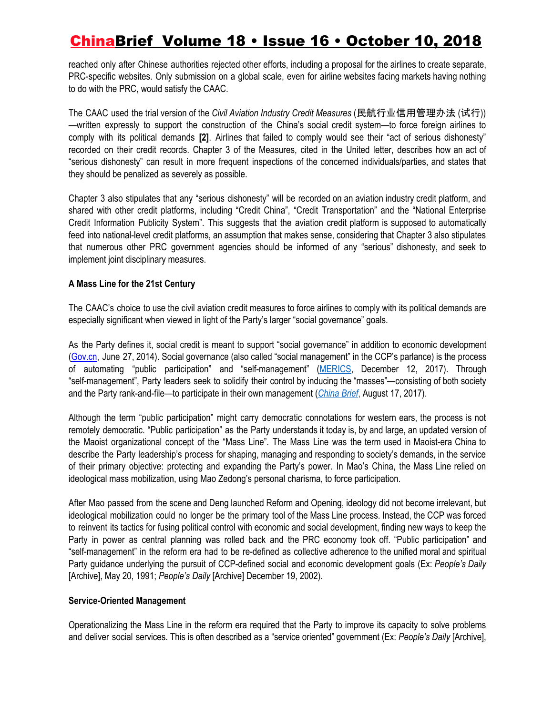reached only after Chinese authorities rejected other efforts, including a proposal for the airlines to create separate, PRC-specific websites. Only submission on a global scale, even for airline websites facing markets having nothing to do with the PRC, would satisfy the CAAC.

The CAAC used the trial version of the *Civil Aviation Industry Credit Measures* (民航行业信用管理办法 (试行)) —written expressly to support the construction of the China's social credit system—to force foreign airlines to comply with its political demands **[2]**. Airlines that failed to comply would see their "act of serious dishonesty" recorded on their credit records. Chapter 3 of the Measures, cited in the United letter, describes how an act of "serious dishonesty" can result in more frequent inspections of the concerned individuals/parties, and states that they should be penalized as severely as possible.

Chapter 3 also stipulates that any "serious dishonesty" will be recorded on an aviation industry credit platform, and shared with other credit platforms, including "Credit China", "Credit Transportation" and the "National Enterprise Credit Information Publicity System". This suggests that the aviation credit platform is supposed to automatically feed into national-level credit platforms, an assumption that makes sense, considering that Chapter 3 also stipulates that numerous other PRC government agencies should be informed of any "serious" dishonesty, and seek to implement joint disciplinary measures.

### **A Mass Line for the 21st Century**

The CAAC's choice to use the civil aviation credit measures to force airlines to comply with its political demands are especially significant when viewed in light of the Party's larger "social governance" goals.

As the Party defines it, social credit is meant to support "social governance" in addition to economic development ([Gov.cn](http://www.gov.cn/zhengce/content/2014-06/27/content_8913.htm), June 27, 2014). Social governance (also called "social management" in the CCP's parlance) is the process of automating "public participation" and "self-management" ([MERICS,](https://www.merics.org/sites/default/files/2017-12/171212_China_Monitor_44_Programming_China_EN_.pdf) December 12, 2017). Through "self-management", Party leaders seek to solidify their control by inducing the "masses"—consisting of both society and the Party rank-and-file—to participate in their own management (*[China](https://jamestown.org/program/managing-the-state-social-credit-surveillance-and-the-ccps-plan-for-china/) Brief*, August 17, 2017).

Although the term "public participation" might carry democratic connotations for western ears, the process is not remotely democratic. "Public participation" as the Party understands it today is, by and large, an updated version of the Maoist organizational concept of the "Mass Line". The Mass Line was the term used in Maoist-era China to describe the Party leadership's process for shaping, managing and responding to society's demands, in the service of their primary objective: protecting and expanding the Party's power. In Mao's China, the Mass Line relied on ideological mass mobilization, using Mao Zedong's personal charisma, to force participation.

After Mao passed from the scene and Deng launched Reform and Opening, ideology did not become irrelevant, but ideological mobilization could no longer be the primary tool of the Mass Line process. Instead, the CCP was forced to reinvent its tactics for fusing political control with economic and social development, finding new ways to keep the Party in power as central planning was rolled back and the PRC economy took off. "Public participation" and "self-management" in the reform era had to be re-defined as collective adherence to the unified moral and spiritual Party guidance underlying the pursuit of CCP-defined social and economic development goals (Ex: *People's Daily* [Archive], May 20, 1991; *People's Daily* [Archive] December 19, 2002).

#### **Service-Oriented Management**

Operationalizing the Mass Line in the reform era required that the Party to improve its capacity to solve problems and deliver social services. This is often described as a "service oriented" government (Ex: *People's Daily* [Archive],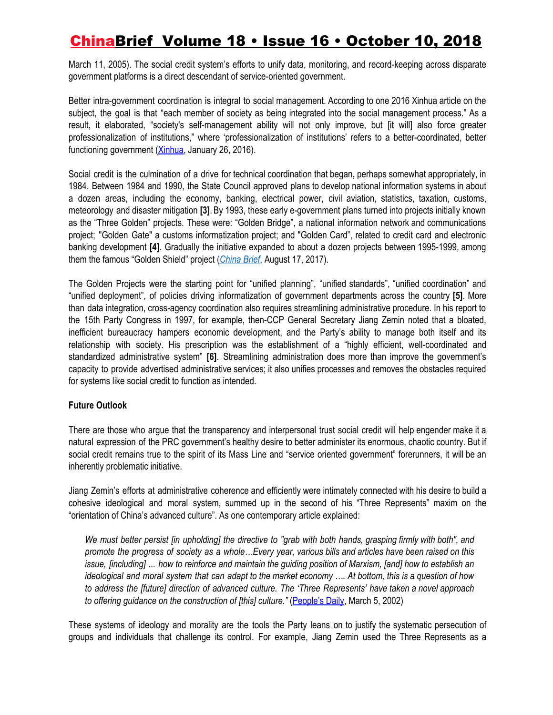March 11, 2005). The social credit system's efforts to unify data, monitoring, and record-keeping across disparate government platforms is a direct descendant of service-oriented government.

Better intra-government coordination is integral to social management. According to one 2016 Xinhua article on the subject, the goal is that "each member of society as being integrated into the social management process." As a result, it elaborated, "society's self-management ability will not only improve, but [it will] also force greater professionalization of institutions," where 'professionalization of institutions' refers to a better-coordinated, better functioning government ([Xinhua](http://www.xinhuanet.com/comments/2016-01/26/c_1117891607.htm), January 26, 2016).

Social credit is the culmination of a drive for technical coordination that began, perhaps somewhat appropriately, in 1984. Between 1984 and 1990, the State Council approved plans to develop national information systems in about a dozen areas, including the economy, banking, electrical power, civil aviation, statistics, taxation, customs, meteorology and disaster mitigation **[3]**.By 1993, these early e-government plans turned into projects initially known as the "Three Golden" projects. These were: "Golden Bridge", a national information network and communications project; "Golden Gate" a customs informatization project; and "Golden Card", related to credit card and electronic banking development **[4]**. Gradually the initiative expanded to about a dozen projects between 1995-1999, among them the famous "Golden Shield" project (*[China](https://jamestown.org/program/managing-the-state-social-credit-surveillance-and-the-ccps-plan-for-china/) Brief*, August 17, 2017).

The Golden Projects were the starting point for "unified planning", "unified standards", "unified coordination" and "unified deployment", of policies driving informatization of government departments across the country **[5]**. More than data integration, cross-agency coordination also requires streamlining administrative procedure. In his report to the 15th Party Congress in 1997, for example, then-CCP General Secretary Jiang Zemin noted that a bloated, inefficient bureaucracy hampers economic development, and the Party's ability to manage both itself and its relationship with society. His prescription was the establishment of a "highly efficient, well-coordinated and standardized administrative system" **[6]**. Streamlining administration does more than improve the government's capacity to provide advertised administrative services; it also unifies processes and removes the obstacles required for systems like social credit to function as intended.

### **Future Outlook**

There are those who argue that the transparency and interpersonal trust social credit will help engender make it a natural expression of the PRC government's healthy desire to better administer its enormous, chaotic country. But if social credit remains true to the spirit of its Mass Line and "service oriented government" forerunners, it will be an inherently problematic initiative.

Jiang Zemin's efforts at administrative coherence and efficiently were intimately connected with his desire to build a cohesive ideological and moral system, summed up in the second of his "Three Represents" maxim on the "orientation of China's advanced culture". As one contemporary article explained:

We must better persist fin upholding] the directive to "grab with both hands, grasping firmly with both", and promote the progress of society as a whole... Every year, various bills and articles have been raised on this issue, [including] ... how to reinforce and maintain the guiding position of Marxism, [and] how to establish an ideological and moral system that can adapt to the market economy .... At bottom, this is a question of how *to address the [future] direction of advanced culture. The 'Three Represents' have taken a novel approach to offering guidance on the construction of [this] culture."* [\(People's](http://www.people.com.cn/GB/shizheng/7501/7509/20020305/679362.html) Daily, March 5, 2002)

These systems of ideology and morality are the tools the Party leans on to justify the systematic persecution of groups and individuals that challenge its control. For example, Jiang Zemin used the Three Represents as a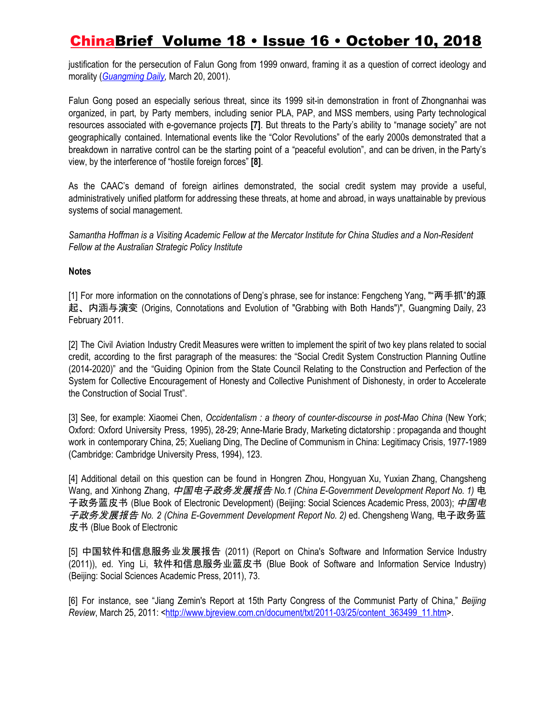justification for the persecution of Falun Gong from 1999 onward, framing it as a question of correct ideology and morality (*[Guangming](http://www.people.com.cn/GB/guandian/29/163/20010320/421204.html) Daily,* March 20, 2001).

Falun Gong posed an especially serious threat, since its 1999 sit-in demonstration in front of Zhongnanhai was organized, in part, by Party members, including senior PLA, PAP, and MSS members, using Party technological resources associated with e-governance projects **[7]**. But threats to the Party's ability to "manage society" are not geographically contained. International events like the "Color Revolutions" of the early 2000s demonstrated that a breakdown in narrative control can be the starting point of a "peaceful evolution", and can be driven, in the Party's view, by the interference of "hostile foreign forces" **[8]**.

As the CAAC's demand of foreign airlines demonstrated, the social credit system may provide a useful, administratively unified platform for addressing these threats, at home and abroad, in ways unattainable by previous systems of social management.

Samantha Hoffman is a Visiting Academic Fellow at the Mercator Institute for China Studies and a Non-Resident *Fellow at the Australian Strategic Policy Institute*

### **Notes**

[1] For more information on the connotations of Deng's phrase, see for instance: Fengcheng Yang, ""两手抓"的源 起、内涵与演变 (Origins, Connotations and Evolution of "Grabbing with Both Hands")", Guangming Daily, 23 February 2011.

[2] The Civil Aviation Industry Credit Measures were written to implement the spirit of two key plans related to social credit, according to the first paragraph of the measures: the "Social Credit System Construction Planning Outline (2014-2020)" and the "Guiding Opinion from the State Council Relating to the Construction and Perfection of the System for Collective Encouragement of Honesty and Collective Punishment of Dishonesty, in order to Accelerate the Construction of Social Trust".

[3] See, for example: Xiaomei Chen, *Occidentalism : a theory of counter-discourse in post-Mao China* (New York; Oxford: Oxford University Press, 1995), 28-29; Anne-Marie Brady, Marketing dictatorship : propaganda and thought work in contemporary China, 25; Xueliang Ding, The Decline of Communism in China: Legitimacy Crisis, 1977-1989 (Cambridge: Cambridge University Press, 1994), 123.

[4] Additional detail on this question can be found in Hongren Zhou, Hongyuan Xu, Yuxian Zhang, Changsheng Wang, and Xinhong Zhang, 中国电子政务发展报告 *No.1 (China E-Government Development Report No. 1)* 电 子政务蓝皮书 (Blue Book of Electronic Development) (Beijing: Social Sciences Academic Press, 2003); 中国电 子政务发展报告 *No. 2 (China E-Government Development Report No. 2)* ed. Chengsheng Wang, 电子政务蓝 皮书 (Blue Book of Electronic

[5] 中国软件和信息服务业发展报告 (2011) (Report on China's Software and Information Service Industry (2011)), ed. Ying Li, 软件和信息服务业蓝皮书 (Blue Book of Software and Information Service Industry) (Beijing: Social Sciences Academic Press, 2011), 73.

[6] For instance, see "Jiang Zemin's Report at 15th Party Congress of the Communist Party of China," *Beijing Review*, March 25, 2011: <[http://www.bjreview.com.cn/document/txt/2011-03/25/content\\_363499\\_11.htm>](http://www.bjreview.com.cn/document/txt/2011-03/25/content_363499_11.htm).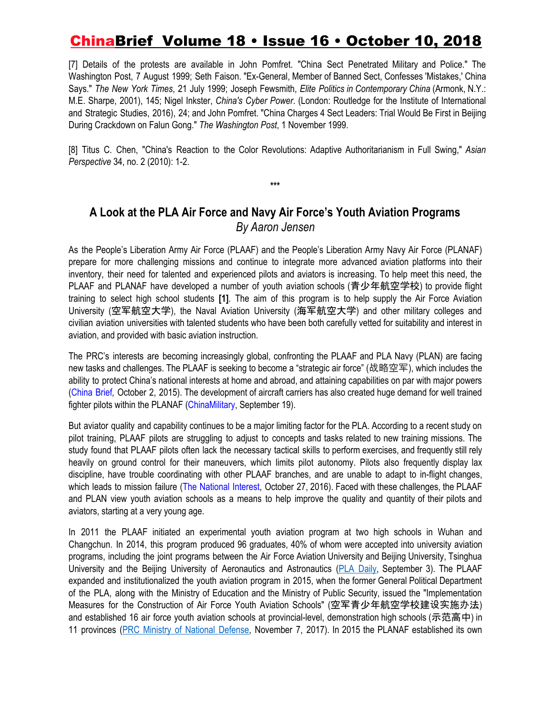[7] Details of the protests are available in John Pomfret. "China Sect Penetrated Military and Police." The Washington Post, 7 August 1999; Seth Faison. "Ex-General, Member of Banned Sect, Confesses 'Mistakes,' China Says." *The New York Times*, 21 July 1999; Joseph Fewsmith, *Elite Politics in Contemporary China* (Armonk, N.Y.: M.E. Sharpe, 2001), 145; Nigel Inkster, *China's Cyber Power*. (London: Routledge for the Institute of International and Strategic Studies, 2016), 24; and John Pomfret. "China Charges 4 Sect Leaders: Trial Would Be First in Beijing During Crackdown on Falun Gong." *The Washington Post*, 1 November 1999.

[8] Titus C. Chen, "China's Reaction to the Color Revolutions: Adaptive Authoritarianism in Full Swing," *Asian Perspective* 34, no. 2 (2010): 1-2.

### **A Look at the PLA Air Force and Navy Air Force's Youth Aviation Programs** *By Aaron Jensen*

**\*\*\***

As the People's Liberation Army Air Force (PLAAF) and the People's Liberation Army Navy Air Force (PLANAF) prepare for more challenging missions and continue to integrate more advanced aviation platforms into their inventory, their need for talented and experienced pilots and aviators is increasing. To help meet this need, the PLAAF and PLANAF have developed a number of youth aviation schools (青少年航空学校) to provide flight training to select high school students **[1]**. The aim of this program is to help supply the Air Force Aviation University (空军航空大学), the Naval Aviation University (海军航空大学) and other military colleges and civilian aviation universities with talented students who have been both carefully vetted for suitability and interest in aviation, and provided with basic aviation instruction.

The PRC's interests are becoming increasingly global, confronting the PLAAF and PLA Navy (PLAN) are facing new tasks and challenges. The PLAAF is seeking to become a "strategic air force" (战略空军), which includes the ability to protect China's national interests at home and abroad, and attaining capabilities on par with major powers ([China](https://jamestown.org/program/chinas-search-for-a-strategic-air-force/) Brief*,* October 2, 2015). The development of aircraft carriers has also created huge demand for well trained fighter pilots within the PLANAF [\(ChinaMilitary](http://eng.chinamil.com.cn/view/2018-09/19/content_9290445.htm), September 19).

But aviator quality and capability continues to be a major limiting factor for the PLA. According to a recent study on pilot training, PLAAF pilots are struggling to adjust to concepts and tasks related to new training missions. The study found that PLAAF pilots often lack the necessary tactical skills to perform exercises, and frequently still rely heavily on ground control for their maneuvers, which limits pilot autonomy. Pilots also frequently display lax discipline, have trouble coordinating with other PLAAF branches, and are unable to adapt to in-flight changes, which leads to mission failure (The [National](https://nationalinterest.org/blog/the-buzz/chinas-plaaf-pilot-training-program-undergoes-major-overhaul-18205) Interest, October 27, 2016). Faced with these challenges, the PLAAF and PLAN view youth aviation schools as a means to help improve the quality and quantity of their pilots and aviators, starting at a very young age.

In 2011 the PLAAF initiated an experimental youth aviation program at two high schools in Wuhan and Changchun. In 2014, this program produced 96 graduates, 40% of whom were accepted into university aviation programs, including the joint programs between the Air Force Aviation University and Beijing University, Tsinghua University and the Beijing University of Aeronautics and Astronautics (PLA [Daily](http://www.81.cn/jfjbmap/content/2018-09/03/content_214907.htm), September 3). The PLAAF expanded and institutionalized the youth aviation program in 2015, when the former General Political Department of the PLA, along with the Ministry of Education and the Ministry of Public Security, issued the "Implementation Measures for the Construction of Air Force Youth Aviation Schools" (空军青少年航空学校建设实施办法) and established 16 air force youth aviation schools at provincial-level, demonstration high schools (示范高中) in 11 provinces (PRC Ministry of National [Defense,](http://www.mod.gov.cn/services/2017-11/07/content_4796817.htm) November 7, 2017). In 2015 the PLANAF established its own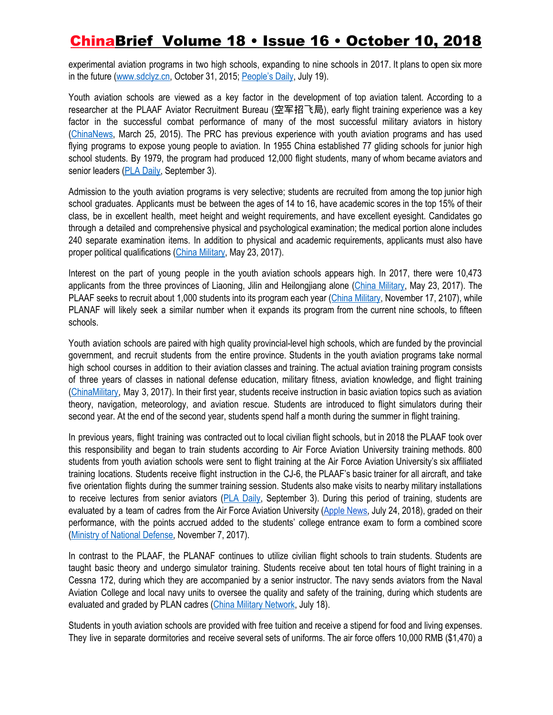experimental aviation programs in two high schools, expanding to nine schools in 2017. It plans to open six more in the future [\(www.sdclyz.cn](http://www.sdclyz.cn/clcmw/hhsyb/2015/10/31/000000.shtml), October 31, 2015; [People's](http://military.people.com.cn/n1/2018/0719/c1011-30156885.html) Daily, July 19).

Youth aviation schools are viewed as a key factor in the development of top aviation talent. According to a researcher at the PLAAF Aviator Recruitment Bureau (空军招飞局), early flight training experience was a key factor in the successful combat performance of many of the most successful military aviators in history ([ChinaNews](http://www.chinanews.com/m/mil/2015/03-25/7156831.shtml), March 25, 2015). The PRC has previous experience with youth aviation programs and has used flying programs to expose young people to aviation. In 1955 China established 77 gliding schools for junior high school students. By 1979, the program had produced 12,000 flight students, many of whom became aviators and senior leaders [\(](http://www.81.cn/jfjbmap/content/2018-09/03/content_214908.htm)PLA [Daily,](http://www.81.cn/jfjbmap/content/2018-09/03/content_214908.htm) September 3).

Admission to the youth aviation programs is very selective; students are recruited from among the top junior high school graduates. Applicants must be between the ages of 14 to 16, have academic scores in the top 15% of their class, be in excellent health, meet height and weight requirements, and have excellent eyesight. Candidates go through a detailed and comprehensive physical and psychological examination; the medical portion alone includes 240 separate examination items. In addition to physical and academic requirements, applicants must also have proper political qualifications (China [Military](http://photo.81.cn/pla/2017-05/23/content_7606375.htm), May 23, 2017).

Interest on the part of young people in the youth aviation schools appears high. In 2017, there were 10,473 applicants from the three provinces of Liaoning, Jilin and Heilongjiang alone (China [Military](http://photo.81.cn/pla/2017-05/23/content_7606375.htm), May 23, 2017). The PLAAF seeks to recruit about 1,000 students into its program each year (China [Military,](http://www.81.cn/jmywyl/2017-11/17/content_7830118.htm) November 17, 2107), while PLANAF will likely seek a similar number when it expands its program from the current nine schools, to fifteen schools.

Youth aviation schools are paired with high quality provincial-level high schools, which are funded by the provincial government, and recruit students from the entire province. Students in the youth aviation programs take normal high school courses in addition to their aviation classes and training. The actual aviation training program consists of three years of classes in national defense education, military fitness, aviation knowledge, and flight training ([ChinaMilitary](http://photo.81.cn/pla/2017-05/23/content_7606375.htm), May 3, 2017). In their first year, students receive instruction in basic aviation topics such as aviation theory, navigation, meteorology, and aviation rescue. Students are introduced to flight simulators during their second year. At the end of the second year, students spend half a month during the summer in flight training.

In previous years, flight training was contracted out to local civilian flight schools, but in 2018 the PLAAF took over this responsibility and began to train students according to Air Force Aviation University training methods. 800 students from youth aviation schools were sent to flight training at the Air Force Aviation University's six affiliated training locations. Students receive flight instruction in the CJ-6, the PLAAF's basic trainer for all aircraft, and take five orientation flights during the summer training session. Students also make visits to nearby military installations to receive lectures from senior aviators (PLA [Daily,](http://www.81.cn/jfjbmap/content/2018-09/03/content_214908.htm) September 3). During this period of training, students are evaluated by a team of cadres from the Air Force Aviation University [\(Apple](http://www.applews.com/2018/07/%E9%AB%98%E4%B8%AD%E7%94%9F%E9%96%8B%E9%A3%9B%E6%A9%9F%EF%BC%81%E7%A9%BA%E8%BB%8D%E9%9D%92%E5%B0%91%E5%B9%B4%E8%88%AA%E7%A9%BA%E5%AD%B8%E6%A0%A12016%E7%B4%9A800%E9%A4%98%E5%90%8D%E5%AD%B8%E7%94%9F/) News, July 24, 2018), graded on their performance, with the points accrued added to the students' college entrance exam to form a combined score (Ministry of National [Defense,](http://www.mod.gov.cn/services/2017-11/07/content_4796817.htm) November 7, 2017).

In contrast to the PLAAF, the PLANAF continues to utilize civilian flight schools to train students. Students are taught basic theory and undergo simulator training. Students receive about ten total hours of flight training in a Cessna 172, during which they are accompanied by a senior instructor. The navy sends aviators from the Naval Aviation College and local navy units to oversee the quality and safety of the training, during which students are evaluated and graded by PLAN cadres (China Military [Network](https://military.china.com/news/568/20180718/32700745_all.html), July 18).

Students in youth aviation schools are provided with free tuition and receive a stipend for food and living expenses. They live in separate dormitories and receive several sets of uniforms. The air force offers 10,000 RMB (\$1,470) a